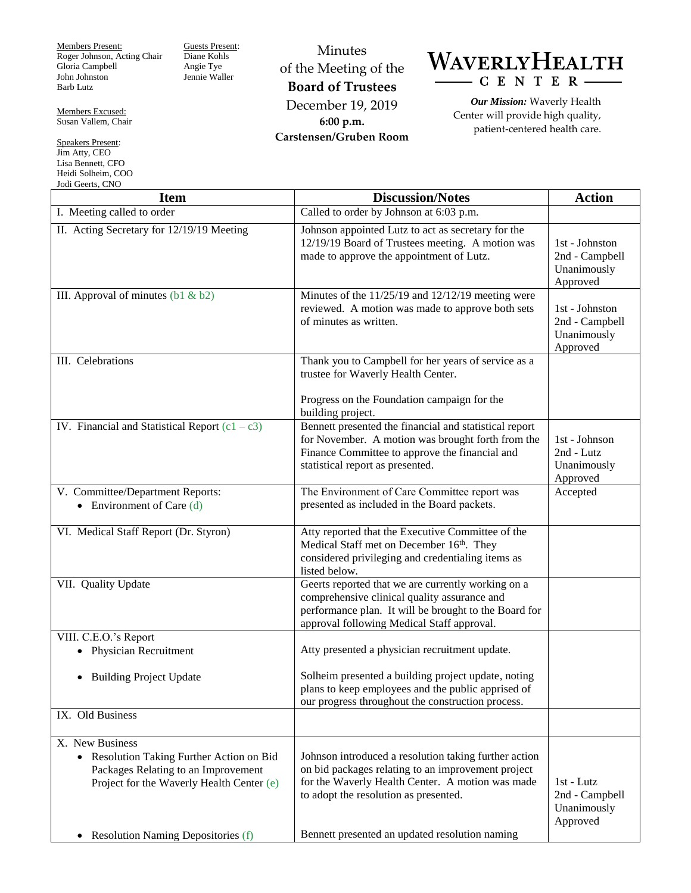Members Present: Roger Johnson, Acting Chair Gloria Campbell John Johnston Barb Lutz

Guests Present: Diane Kohls Angie Tye Jennie Waller

Members Excused: Susan Vallem, Chair

Speakers Present: Jim Atty, CEO Lisa Bennett, CFO Heidi Solheim, COO Jodi Geerts, CNO

Minutes of the Meeting of the **Board of Trustees** December 19, 2019 **6:00 p.m. Carstensen/Gruben Room**



*Our Mission:* Waverly Health Center will provide high quality, patient-centered health care.

| <b>Item</b>                                                                                                                                    | <b>Discussion/Notes</b>                                                                                                                                                                                                                                    | <b>Action</b>                                               |
|------------------------------------------------------------------------------------------------------------------------------------------------|------------------------------------------------------------------------------------------------------------------------------------------------------------------------------------------------------------------------------------------------------------|-------------------------------------------------------------|
| I. Meeting called to order                                                                                                                     | Called to order by Johnson at 6:03 p.m.                                                                                                                                                                                                                    |                                                             |
| II. Acting Secretary for 12/19/19 Meeting                                                                                                      | Johnson appointed Lutz to act as secretary for the<br>12/19/19 Board of Trustees meeting. A motion was<br>made to approve the appointment of Lutz.                                                                                                         | 1st - Johnston<br>2nd - Campbell<br>Unanimously<br>Approved |
| III. Approval of minutes $(b1 & b2)$                                                                                                           | Minutes of the $11/25/19$ and $12/12/19$ meeting were<br>reviewed. A motion was made to approve both sets<br>of minutes as written.                                                                                                                        | 1st - Johnston<br>2nd - Campbell<br>Unanimously<br>Approved |
| III. Celebrations                                                                                                                              | Thank you to Campbell for her years of service as a<br>trustee for Waverly Health Center.                                                                                                                                                                  |                                                             |
|                                                                                                                                                | Progress on the Foundation campaign for the<br>building project.                                                                                                                                                                                           |                                                             |
| IV. Financial and Statistical Report $(c1 - c3)$                                                                                               | Bennett presented the financial and statistical report<br>for November. A motion was brought forth from the<br>Finance Committee to approve the financial and<br>statistical report as presented.                                                          | 1st - Johnson<br>2nd - Lutz<br>Unanimously<br>Approved      |
| V. Committee/Department Reports:<br>• Environment of Care $(d)$                                                                                | The Environment of Care Committee report was<br>presented as included in the Board packets.                                                                                                                                                                | Accepted                                                    |
| VI. Medical Staff Report (Dr. Styron)                                                                                                          | Atty reported that the Executive Committee of the<br>Medical Staff met on December 16th. They<br>considered privileging and credentialing items as<br>listed below.                                                                                        |                                                             |
| VII. Quality Update                                                                                                                            | Geerts reported that we are currently working on a<br>comprehensive clinical quality assurance and<br>performance plan. It will be brought to the Board for<br>approval following Medical Staff approval.                                                  |                                                             |
| VIII. C.E.O.'s Report                                                                                                                          |                                                                                                                                                                                                                                                            |                                                             |
| • Physician Recruitment                                                                                                                        | Atty presented a physician recruitment update.                                                                                                                                                                                                             |                                                             |
| <b>Building Project Update</b><br>$\bullet$                                                                                                    | Solheim presented a building project update, noting<br>plans to keep employees and the public apprised of<br>our progress throughout the construction process.                                                                                             |                                                             |
| IX. Old Business                                                                                                                               |                                                                                                                                                                                                                                                            |                                                             |
| X. New Business<br>Resolution Taking Further Action on Bid<br>Packages Relating to an Improvement<br>Project for the Waverly Health Center (e) | Johnson introduced a resolution taking further action<br>on bid packages relating to an improvement project<br>for the Waverly Health Center. A motion was made<br>to adopt the resolution as presented.<br>Bennett presented an updated resolution naming | 1st - Lutz<br>2nd - Campbell<br>Unanimously<br>Approved     |
| <b>Resolution Naming Depositories (f)</b><br>$\bullet$                                                                                         |                                                                                                                                                                                                                                                            |                                                             |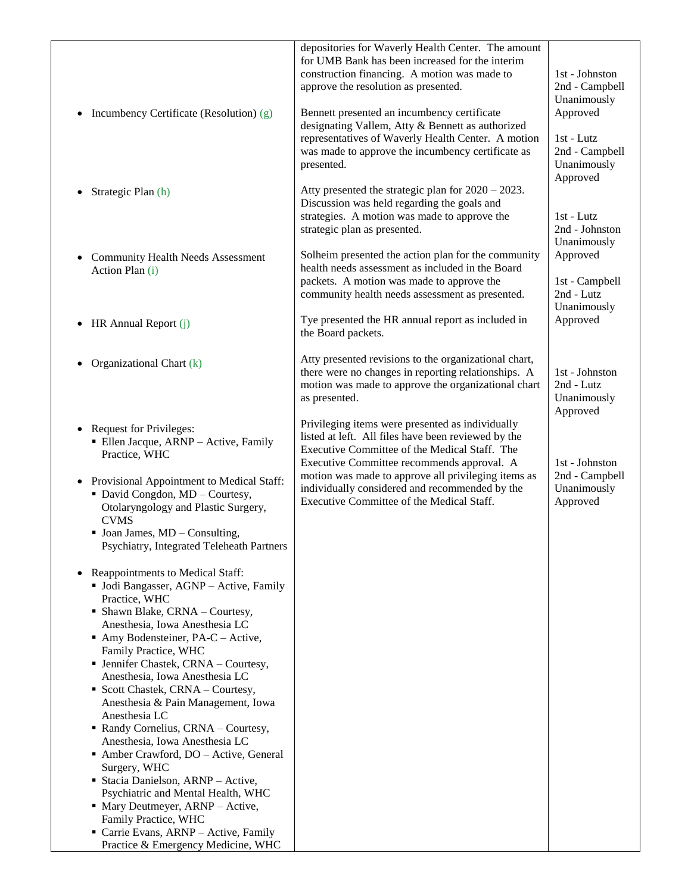| Incumbency Certificate (Resolution) (g)<br>$\bullet$<br>Strategic Plan (h)                                                                                                                                                                                                                                                                                                                                                                                                                                                                                                                                                                                                                                                                                                                                                                                                                                                                                                                                                                                                                                      | depositories for Waverly Health Center. The amount<br>for UMB Bank has been increased for the interim<br>construction financing. A motion was made to<br>approve the resolution as presented.<br>Bennett presented an incumbency certificate<br>designating Vallem, Atty & Bennett as authorized<br>representatives of Waverly Health Center. A motion<br>was made to approve the incumbency certificate as<br>presented.<br>Atty presented the strategic plan for $2020 - 2023$ . | 1st - Johnston<br>2nd - Campbell<br>Unanimously<br>Approved<br>1st - Lutz<br>2nd - Campbell<br>Unanimously<br>Approved |
|-----------------------------------------------------------------------------------------------------------------------------------------------------------------------------------------------------------------------------------------------------------------------------------------------------------------------------------------------------------------------------------------------------------------------------------------------------------------------------------------------------------------------------------------------------------------------------------------------------------------------------------------------------------------------------------------------------------------------------------------------------------------------------------------------------------------------------------------------------------------------------------------------------------------------------------------------------------------------------------------------------------------------------------------------------------------------------------------------------------------|------------------------------------------------------------------------------------------------------------------------------------------------------------------------------------------------------------------------------------------------------------------------------------------------------------------------------------------------------------------------------------------------------------------------------------------------------------------------------------|------------------------------------------------------------------------------------------------------------------------|
| <b>Community Health Needs Assessment</b><br>$\bullet$<br>Action Plan (i)                                                                                                                                                                                                                                                                                                                                                                                                                                                                                                                                                                                                                                                                                                                                                                                                                                                                                                                                                                                                                                        | Discussion was held regarding the goals and<br>strategies. A motion was made to approve the<br>strategic plan as presented.<br>Solheim presented the action plan for the community<br>health needs assessment as included in the Board<br>packets. A motion was made to approve the<br>community health needs assessment as presented.                                                                                                                                             | 1st - Lutz<br>2nd - Johnston<br>Unanimously<br>Approved<br>1st - Campbell<br>2nd - Lutz<br>Unanimously                 |
| HR Annual Report (j)<br>$\bullet$                                                                                                                                                                                                                                                                                                                                                                                                                                                                                                                                                                                                                                                                                                                                                                                                                                                                                                                                                                                                                                                                               | Tye presented the HR annual report as included in<br>the Board packets.                                                                                                                                                                                                                                                                                                                                                                                                            | Approved                                                                                                               |
| Organizational Chart (k)                                                                                                                                                                                                                                                                                                                                                                                                                                                                                                                                                                                                                                                                                                                                                                                                                                                                                                                                                                                                                                                                                        | Atty presented revisions to the organizational chart,<br>there were no changes in reporting relationships. A<br>motion was made to approve the organizational chart<br>as presented.                                                                                                                                                                                                                                                                                               | 1st - Johnston<br>2nd - Lutz<br>Unanimously                                                                            |
| <b>Request for Privileges:</b><br>· Ellen Jacque, ARNP - Active, Family<br>Practice, WHC<br>Provisional Appointment to Medical Staff:<br>$\bullet$<br>• David Congdon, MD - Courtesy,<br>Otolaryngology and Plastic Surgery,<br><b>CVMS</b><br>$\blacksquare$ Joan James, MD – Consulting,<br>Psychiatry, Integrated Teleheath Partners<br>Reappointments to Medical Staff:<br>• Jodi Bangasser, AGNP - Active, Family<br>Practice, WHC<br>• Shawn Blake, CRNA – Courtesy,<br>Anesthesia, Iowa Anesthesia LC<br>$\blacksquare$ Amy Bodensteiner, PA-C – Active,<br>Family Practice, WHC<br>• Jennifer Chastek, CRNA - Courtesy,<br>Anesthesia, Iowa Anesthesia LC<br>• Scott Chastek, CRNA – Courtesy,<br>Anesthesia & Pain Management, Iowa<br>Anesthesia LC<br>Randy Cornelius, CRNA - Courtesy,<br>Anesthesia, Iowa Anesthesia LC<br>Amber Crawford, DO - Active, General<br>Surgery, WHC<br>Stacia Danielson, ARNP - Active,<br>Psychiatric and Mental Health, WHC<br>• Mary Deutmeyer, ARNP – Active,<br>Family Practice, WHC<br>Carrie Evans, ARNP - Active, Family<br>Practice & Emergency Medicine, WHC | Privileging items were presented as individually<br>listed at left. All files have been reviewed by the<br>Executive Committee of the Medical Staff. The<br>Executive Committee recommends approval. A<br>motion was made to approve all privileging items as<br>individually considered and recommended by the<br>Executive Committee of the Medical Staff.                                                                                                                       | Approved<br>1st - Johnston<br>2nd - Campbell<br>Unanimously<br>Approved                                                |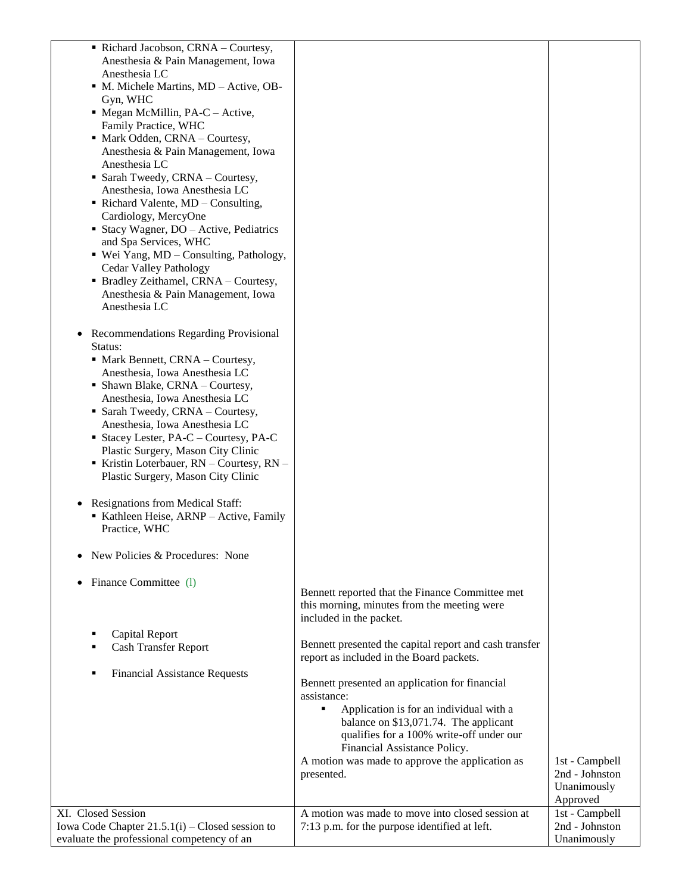| Richard Jacobson, CRNA - Courtesy,<br>Anesthesia & Pain Management, Iowa<br>Anesthesia LC<br>• M. Michele Martins, MD - Active, OB-<br>Gyn, WHC<br>$\blacksquare$ Megan McMillin, PA-C – Active,<br>Family Practice, WHC<br>• Mark Odden, CRNA – Courtesy,<br>Anesthesia & Pain Management, Iowa<br>Anesthesia LC<br>• Sarah Tweedy, CRNA - Courtesy,<br>Anesthesia, Iowa Anesthesia LC<br>$\blacksquare$ Richard Valente, MD – Consulting,<br>Cardiology, MercyOne<br>■ Stacy Wagner, $DO - Active$ , Pediatrics<br>and Spa Services, WHC<br>• Wei Yang, MD - Consulting, Pathology,<br>Cedar Valley Pathology<br>• Bradley Zeithamel, CRNA - Courtesy,<br>Anesthesia & Pain Management, Iowa<br>Anesthesia LC<br>• Recommendations Regarding Provisional<br>Status:<br>$\blacksquare$ Mark Bennett, CRNA – Courtesy,<br>Anesthesia, Iowa Anesthesia LC<br>• Shawn Blake, CRNA - Courtesy, |                                                                                                                                                                                                                                                                                                     |                                                 |
|---------------------------------------------------------------------------------------------------------------------------------------------------------------------------------------------------------------------------------------------------------------------------------------------------------------------------------------------------------------------------------------------------------------------------------------------------------------------------------------------------------------------------------------------------------------------------------------------------------------------------------------------------------------------------------------------------------------------------------------------------------------------------------------------------------------------------------------------------------------------------------------------|-----------------------------------------------------------------------------------------------------------------------------------------------------------------------------------------------------------------------------------------------------------------------------------------------------|-------------------------------------------------|
| Anesthesia, Iowa Anesthesia LC                                                                                                                                                                                                                                                                                                                                                                                                                                                                                                                                                                                                                                                                                                                                                                                                                                                              |                                                                                                                                                                                                                                                                                                     |                                                 |
| • Sarah Tweedy, CRNA - Courtesy,                                                                                                                                                                                                                                                                                                                                                                                                                                                                                                                                                                                                                                                                                                                                                                                                                                                            |                                                                                                                                                                                                                                                                                                     |                                                 |
| Anesthesia, Iowa Anesthesia LC                                                                                                                                                                                                                                                                                                                                                                                                                                                                                                                                                                                                                                                                                                                                                                                                                                                              |                                                                                                                                                                                                                                                                                                     |                                                 |
| $\blacksquare$ Stacey Lester, PA-C – Courtesy, PA-C                                                                                                                                                                                                                                                                                                                                                                                                                                                                                                                                                                                                                                                                                                                                                                                                                                         |                                                                                                                                                                                                                                                                                                     |                                                 |
| Plastic Surgery, Mason City Clinic<br>Kristin Loterbauer, $RN$ – Courtesy, $RN$ –<br>Plastic Surgery, Mason City Clinic                                                                                                                                                                                                                                                                                                                                                                                                                                                                                                                                                                                                                                                                                                                                                                     |                                                                                                                                                                                                                                                                                                     |                                                 |
| Resignations from Medical Staff:<br>٠                                                                                                                                                                                                                                                                                                                                                                                                                                                                                                                                                                                                                                                                                                                                                                                                                                                       |                                                                                                                                                                                                                                                                                                     |                                                 |
| Kathleen Heise, ARNP - Active, Family<br>Practice, WHC                                                                                                                                                                                                                                                                                                                                                                                                                                                                                                                                                                                                                                                                                                                                                                                                                                      |                                                                                                                                                                                                                                                                                                     |                                                 |
| New Policies & Procedures: None                                                                                                                                                                                                                                                                                                                                                                                                                                                                                                                                                                                                                                                                                                                                                                                                                                                             |                                                                                                                                                                                                                                                                                                     |                                                 |
| Finance Committee (1)<br>٠                                                                                                                                                                                                                                                                                                                                                                                                                                                                                                                                                                                                                                                                                                                                                                                                                                                                  | Bennett reported that the Finance Committee met<br>this morning, minutes from the meeting were<br>included in the packet.                                                                                                                                                                           |                                                 |
| <b>Capital Report</b>                                                                                                                                                                                                                                                                                                                                                                                                                                                                                                                                                                                                                                                                                                                                                                                                                                                                       |                                                                                                                                                                                                                                                                                                     |                                                 |
| <b>Cash Transfer Report</b>                                                                                                                                                                                                                                                                                                                                                                                                                                                                                                                                                                                                                                                                                                                                                                                                                                                                 | Bennett presented the capital report and cash transfer<br>report as included in the Board packets.                                                                                                                                                                                                  |                                                 |
| <b>Financial Assistance Requests</b>                                                                                                                                                                                                                                                                                                                                                                                                                                                                                                                                                                                                                                                                                                                                                                                                                                                        |                                                                                                                                                                                                                                                                                                     |                                                 |
|                                                                                                                                                                                                                                                                                                                                                                                                                                                                                                                                                                                                                                                                                                                                                                                                                                                                                             | Bennett presented an application for financial<br>assistance:<br>Application is for an individual with a<br>٠<br>balance on \$13,071.74. The applicant<br>qualifies for a 100% write-off under our<br>Financial Assistance Policy.<br>A motion was made to approve the application as<br>presented. | 1st - Campbell<br>2nd - Johnston<br>Unanimously |
|                                                                                                                                                                                                                                                                                                                                                                                                                                                                                                                                                                                                                                                                                                                                                                                                                                                                                             |                                                                                                                                                                                                                                                                                                     | Approved                                        |
| XI. Closed Session                                                                                                                                                                                                                                                                                                                                                                                                                                                                                                                                                                                                                                                                                                                                                                                                                                                                          | A motion was made to move into closed session at                                                                                                                                                                                                                                                    | 1st - Campbell                                  |
| Iowa Code Chapter $21.5.1(i)$ – Closed session to<br>evaluate the professional competency of an                                                                                                                                                                                                                                                                                                                                                                                                                                                                                                                                                                                                                                                                                                                                                                                             | 7:13 p.m. for the purpose identified at left.                                                                                                                                                                                                                                                       | 2nd - Johnston<br>Unanimously                   |